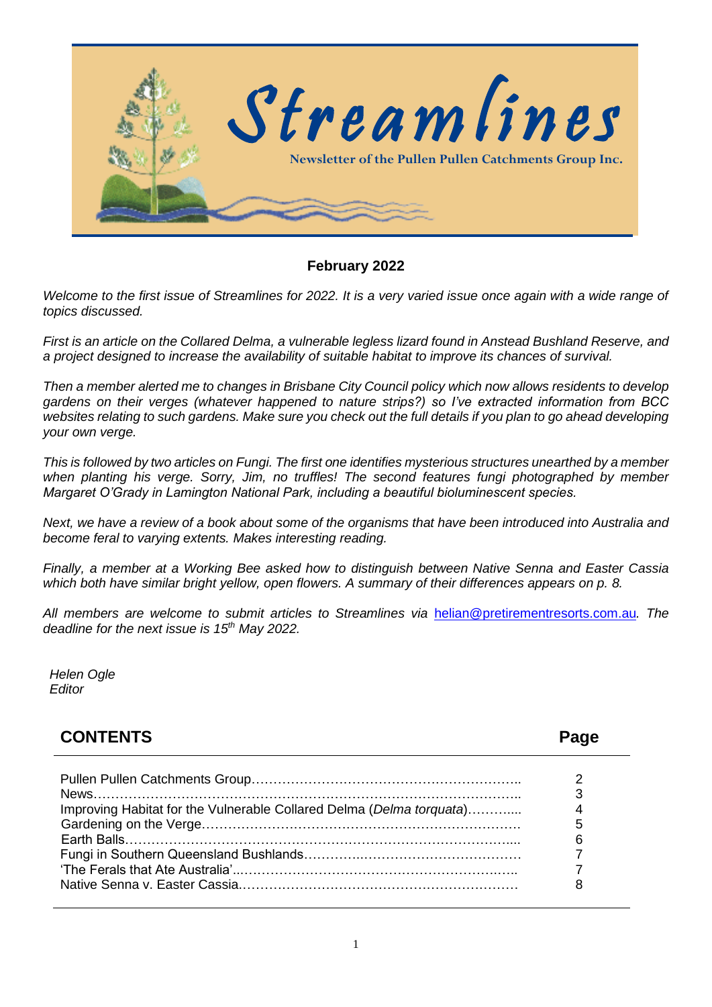

### **February 2022**

*Welcome to the first issue of Streamlines for 2022. It is a very varied issue once again with a wide range of topics discussed.* 

*First is an article on the Collared Delma, a vulnerable legless lizard found in Anstead Bushland Reserve, and a project designed to increase the availability of suitable habitat to improve its chances of survival.*

*Then a member alerted me to changes in Brisbane City Council policy which now allows residents to develop gardens on their verges (whatever happened to nature strips?) so I've extracted information from BCC websites relating to such gardens. Make sure you check out the full details if you plan to go ahead developing your own verge.*

*This is followed by two articles on Fungi. The first one identifies mysterious structures unearthed by a member when planting his verge. Sorry, Jim, no truffles! The second features fungi photographed by member Margaret O'Grady in Lamington National Park, including a beautiful bioluminescent species.* 

*Next, we have a review of a book about some of the organisms that have been introduced into Australia and become feral to varying extents. Makes interesting reading.*

*Finally, a member at a Working Bee asked how to distinguish between Native Senna and Easter Cassia which both have similar bright yellow, open flowers. A summary of their differences appears on p. 8.*

*All members are welcome to submit articles to Streamlines via* [helian@pretirementresorts.com.au](mailto:helian@pretirementresorts.com.au)*. The deadline for the next issue is 15th May 2022.*

*Helen Ogle Editor*

### **CONTENTS Page**

| Improving Habitat for the Vulnerable Collared Delma (Delma torquata) | 5<br>6 |
|----------------------------------------------------------------------|--------|
|----------------------------------------------------------------------|--------|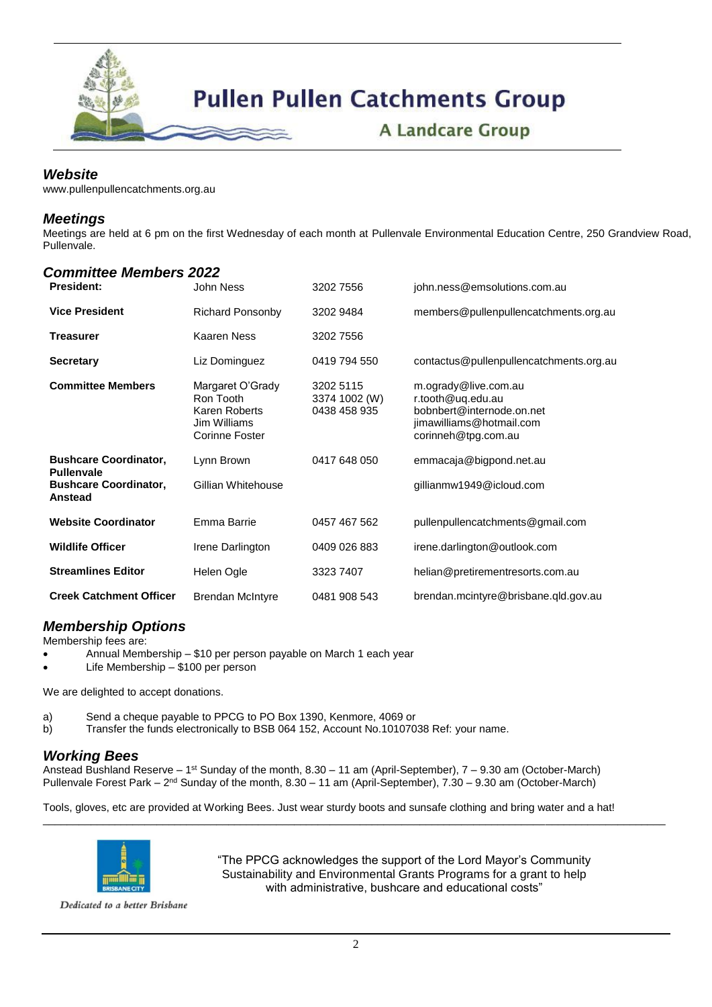

### *Website*

[www.pullenpullenc](http://www.pullenpullen/)atchments.org.au

### *Meetings*

Meetings are held at 6 pm on the first Wednesday of each month at Pullenvale Environmental Education Centre, 250 Grandview Road, Pullenvale.

#### *Committee Members 2022*

| <b>President:</b>                                 | John Ness                                                                               | 3202 7556                                  | john.ness@emsolutions.com.au                                                                                              |
|---------------------------------------------------|-----------------------------------------------------------------------------------------|--------------------------------------------|---------------------------------------------------------------------------------------------------------------------------|
| <b>Vice President</b>                             | <b>Richard Ponsonby</b>                                                                 | 3202 9484                                  | members@pullenpullencatchments.org.au                                                                                     |
| <b>Treasurer</b>                                  | Kaaren Ness                                                                             | 3202 7556                                  |                                                                                                                           |
| <b>Secretary</b>                                  | Liz Dominguez                                                                           | 0419 794 550                               | contactus@pullenpullencatchments.org.au                                                                                   |
| <b>Committee Members</b>                          | Margaret O'Grady<br>Ron Tooth<br><b>Karen Roberts</b><br>Jim Williams<br>Corinne Foster | 3202 5115<br>3374 1002 (W)<br>0438 458 935 | m.ogrady@live.com.au<br>r.tooth@uq.edu.au<br>bobnbert@internode.on.net<br>jimawilliams@hotmail.com<br>corinneh@tpg.com.au |
| <b>Bushcare Coordinator,</b><br><b>Pullenvale</b> | Lynn Brown                                                                              | 0417 648 050                               | emmacaja@bigpond.net.au                                                                                                   |
| <b>Bushcare Coordinator,</b><br>Anstead           | Gillian Whitehouse                                                                      |                                            | gillianmw1949@icloud.com                                                                                                  |
| <b>Website Coordinator</b>                        | Emma Barrie                                                                             | 0457 467 562                               | pullenpullencatchments@gmail.com                                                                                          |
| <b>Wildlife Officer</b>                           | Irene Darlington                                                                        | 0409 026 883                               | irene.darlington@outlook.com                                                                                              |
| <b>Streamlines Editor</b>                         | Helen Ogle                                                                              | 3323 7407                                  | helian@pretirementresorts.com.au                                                                                          |
| <b>Creek Catchment Officer</b>                    | <b>Brendan McIntyre</b>                                                                 | 0481 908 543                               | brendan.mcintyre@brisbane.qld.gov.au                                                                                      |

### *Membership Options*

Membership fees are:

- Annual Membership \$10 per person payable on March 1 each year
- Life Membership \$100 per person

We are delighted to accept donations.

a) Send a cheque payable to PPCG to PO Box 1390, Kenmore, 4069 or

b) Transfer the funds electronically to BSB 064 152, Account No.10107038 Ref: your name.

#### *Working Bees*

Anstead Bushland Reserve – 1<sup>st</sup> Sunday of the month, 8.30 – 11 am (April-September), 7 – 9.30 am (October-March) Pullenvale Forest Park – 2<sup>nd</sup> Sunday of the month, 8.30 – 11 am (April-September), 7.30 – 9.30 am (October-March)

Tools, gloves, etc are provided at Working Bees. Just wear sturdy boots and sunsafe clothing and bring water and a hat!

\_\_\_\_\_\_\_\_\_\_\_\_\_\_\_\_\_\_\_\_\_\_\_\_\_\_\_\_\_\_\_\_\_\_\_\_\_\_\_\_\_\_\_\_\_\_\_\_\_\_\_\_\_\_\_\_\_\_\_\_\_\_\_\_\_\_\_\_\_\_\_\_\_\_\_\_\_\_\_\_\_\_\_\_\_\_\_\_\_\_\_\_\_\_\_\_\_\_\_\_\_\_\_\_



"The PPCG acknowledges the support of the Lord Mayor's Community Sustainability and Environmental Grants Programs for a grant to help with administrative, bushcare and educational costs"

Dedicated to a better Brisbane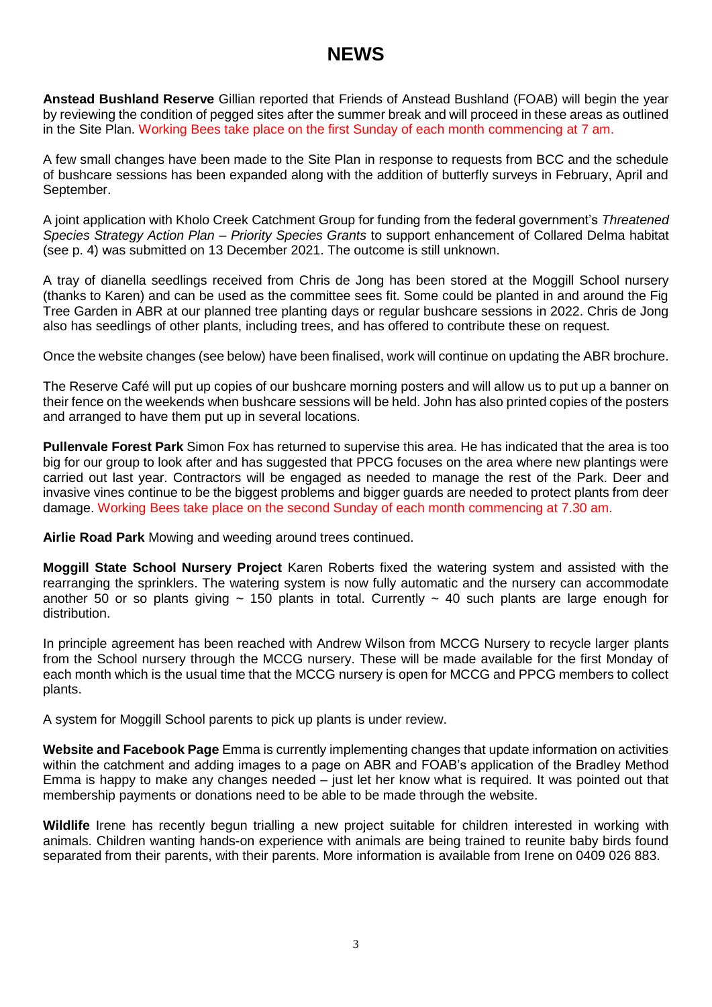## **NEWS**

**Anstead Bushland Reserve** Gillian reported that Friends of Anstead Bushland (FOAB) will begin the year by reviewing the condition of pegged sites after the summer break and will proceed in these areas as outlined in the Site Plan. Working Bees take place on the first Sunday of each month commencing at 7 am.

A few small changes have been made to the Site Plan in response to requests from BCC and the schedule of bushcare sessions has been expanded along with the addition of butterfly surveys in February, April and September.

A joint application with Kholo Creek Catchment Group for funding from the federal government's *Threatened Species Strategy Action Plan – Priority Species Grants* to support enhancement of Collared Delma habitat (see p. 4) was submitted on 13 December 2021. The outcome is still unknown.

A tray of dianella seedlings received from Chris de Jong has been stored at the Moggill School nursery (thanks to Karen) and can be used as the committee sees fit. Some could be planted in and around the Fig Tree Garden in ABR at our planned tree planting days or regular bushcare sessions in 2022. Chris de Jong also has seedlings of other plants, including trees, and has offered to contribute these on request.

Once the website changes (see below) have been finalised, work will continue on updating the ABR brochure.

The Reserve Café will put up copies of our bushcare morning posters and will allow us to put up a banner on their fence on the weekends when bushcare sessions will be held. John has also printed copies of the posters and arranged to have them put up in several locations.

**Pullenvale Forest Park** Simon Fox has returned to supervise this area. He has indicated that the area is too big for our group to look after and has suggested that PPCG focuses on the area where new plantings were carried out last year. Contractors will be engaged as needed to manage the rest of the Park. Deer and invasive vines continue to be the biggest problems and bigger guards are needed to protect plants from deer damage. Working Bees take place on the second Sunday of each month commencing at 7.30 am.

**Airlie Road Park** Mowing and weeding around trees continued.

**Moggill State School Nursery Project** Karen Roberts fixed the watering system and assisted with the rearranging the sprinklers. The watering system is now fully automatic and the nursery can accommodate another 50 or so plants giving  $\sim$  150 plants in total. Currently  $\sim$  40 such plants are large enough for distribution.

In principle agreement has been reached with Andrew Wilson from MCCG Nursery to recycle larger plants from the School nursery through the MCCG nursery. These will be made available for the first Monday of each month which is the usual time that the MCCG nursery is open for MCCG and PPCG members to collect plants.

A system for Moggill School parents to pick up plants is under review.

**Website and Facebook Page** Emma is currently implementing changes that update information on activities within the catchment and adding images to a page on ABR and FOAB's application of the Bradley Method Emma is happy to make any changes needed – just let her know what is required. It was pointed out that membership payments or donations need to be able to be made through the website.

**Wildlife** Irene has recently begun trialling a new project suitable for children interested in working with animals. Children wanting hands-on experience with animals are being trained to reunite baby birds found separated from their parents, with their parents. More information is available from Irene on 0409 026 883.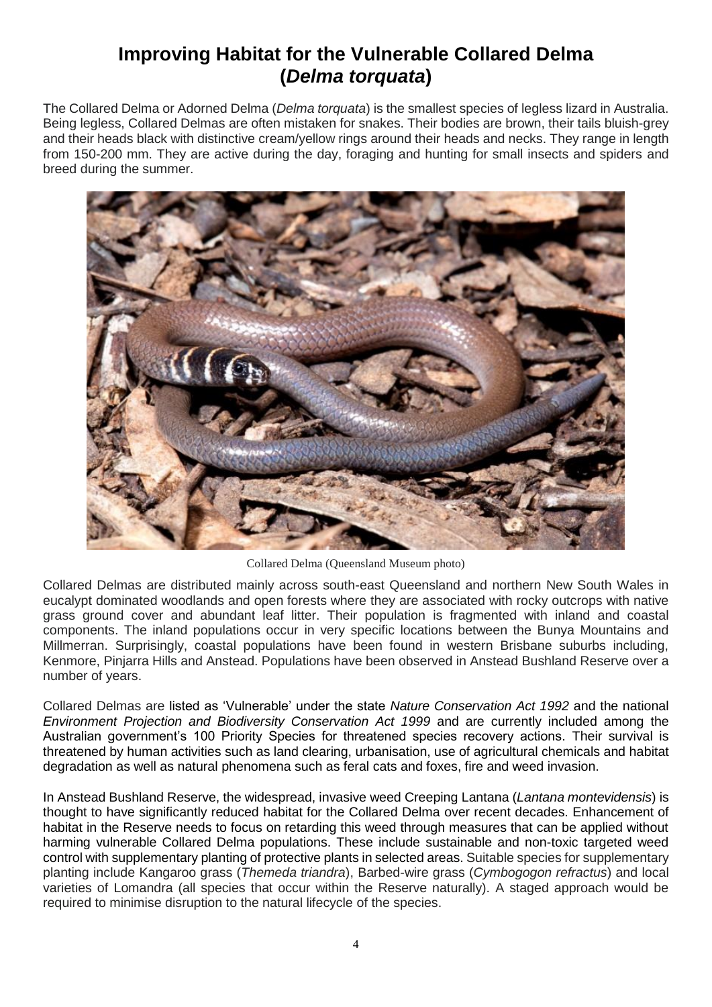## **Improving Habitat for the Vulnerable Collared Delma (***Delma torquata***)**

The Collared Delma or Adorned Delma (*Delma torquata*) is the smallest species of legless lizard in Australia. Being legless, Collared Delmas are often mistaken for snakes. Their bodies are brown, their tails bluish-grey and their heads black with distinctive cream/yellow rings around their heads and necks. They range in length from 150-200 mm. They are active during the day, foraging and hunting for small insects and spiders and breed during the summer.



Collared Delma (Queensland Museum photo)

Collared Delmas are distributed mainly across south-east Queensland and northern New South Wales in eucalypt dominated woodlands and open forests where they are associated with rocky outcrops with native grass ground cover and abundant leaf litter. Their population is fragmented with inland and coastal components. The inland populations occur in very specific locations between the Bunya Mountains and Millmerran. Surprisingly, coastal populations have been found in western Brisbane suburbs including, Kenmore, Pinjarra Hills and Anstead. Populations have been observed in Anstead Bushland Reserve over a number of years.

Collared Delmas are listed as 'Vulnerable' under the state *Nature Conservation Act 1992* and the national *Environment Projection and Biodiversity Conservation Act 1999* and are currently included among the Australian government's 100 Priority Species for threatened species recovery actions. Their survival is threatened by human activities such as land clearing, urbanisation, use of agricultural chemicals and habitat degradation as well as natural phenomena such as feral cats and foxes, fire and weed invasion.

In Anstead Bushland Reserve, the widespread, invasive weed Creeping Lantana (*Lantana montevidensis*) is thought to have significantly reduced habitat for the Collared Delma over recent decades. Enhancement of habitat in the Reserve needs to focus on retarding this weed through measures that can be applied without harming vulnerable Collared Delma populations. These include sustainable and non-toxic targeted weed control with supplementary planting of protective plants in selected areas. Suitable species for supplementary planting include Kangaroo grass (*Themeda triandra*), Barbed-wire grass (*Cymbogogon refractus*) and local varieties of Lomandra (all species that occur within the Reserve naturally). A staged approach would be required to minimise disruption to the natural lifecycle of the species.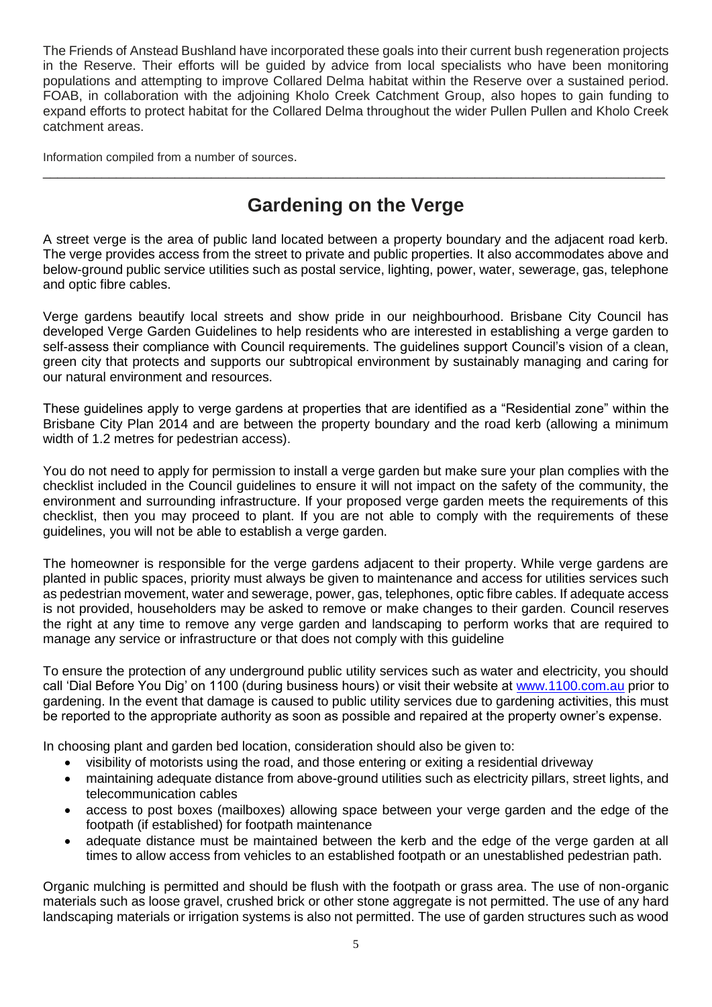The Friends of Anstead Bushland have incorporated these goals into their current bush regeneration projects in the Reserve. Their efforts will be guided by advice from local specialists who have been monitoring populations and attempting to improve Collared Delma habitat within the Reserve over a sustained period. FOAB, in collaboration with the adjoining Kholo Creek Catchment Group, also hopes to gain funding to expand efforts to protect habitat for the Collared Delma throughout the wider Pullen Pullen and Kholo Creek catchment areas.

Information compiled from a number of sources.

# **Gardening on the Verge**

\_\_\_\_\_\_\_\_\_\_\_\_\_\_\_\_\_\_\_\_\_\_\_\_\_\_\_\_\_\_\_\_\_\_\_\_\_\_\_\_\_\_\_\_\_\_\_\_\_\_\_\_\_\_\_\_\_\_\_\_\_\_\_\_\_\_\_\_\_\_\_\_\_\_\_\_\_\_\_\_\_\_\_\_\_

A street verge is the area of public land located between a property boundary and the adjacent road kerb. The verge provides access from the street to private and public properties. It also accommodates above and below-ground public service utilities such as postal service, lighting, power, water, sewerage, gas, telephone and optic fibre cables.

Verge gardens beautify local streets and show pride in our neighbourhood. Brisbane City Council has developed Verge Garden Guidelines to help residents who are interested in establishing a verge garden to self-assess their compliance with Council requirements. The guidelines support Council's vision of a clean, green city that protects and supports our subtropical environment by sustainably managing and caring for our natural environment and resources.

These guidelines apply to verge gardens at properties that are identified as a "Residential zone" within the Brisbane City Plan 2014 and are between the property boundary and the road kerb (allowing a minimum width of 1.2 metres for pedestrian access).

You do not need to apply for permission to install a verge garden but make sure your plan complies with the checklist included in the Council guidelines to ensure it will not impact on the safety of the community, the environment and surrounding infrastructure. If your proposed verge garden meets the requirements of this checklist, then you may proceed to plant. If you are not able to comply with the requirements of these guidelines, you will not be able to establish a verge garden.

The homeowner is responsible for the verge gardens adjacent to their property. While verge gardens are planted in public spaces, priority must always be given to maintenance and access for utilities services such as pedestrian movement, water and sewerage, power, gas, telephones, optic fibre cables. If adequate access is not provided, householders may be asked to remove or make changes to their garden. Council reserves the right at any time to remove any verge garden and landscaping to perform works that are required to manage any service or infrastructure or that does not comply with this guideline

To ensure the protection of any underground public utility services such as water and electricity, you should call 'Dial Before You Dig' on 1100 (during business hours) or visit their website at [www.1100.com.au](http://www.1100.com.au/) prior to gardening. In the event that damage is caused to public utility services due to gardening activities, this must be reported to the appropriate authority as soon as possible and repaired at the property owner's expense.

In choosing plant and garden bed location, consideration should also be given to:

- visibility of motorists using the road, and those entering or exiting a residential driveway
- maintaining adequate distance from above-ground utilities such as electricity pillars, street lights, and telecommunication cables
- access to post boxes (mailboxes) allowing space between your verge garden and the edge of the footpath (if established) for footpath maintenance
- adequate distance must be maintained between the kerb and the edge of the verge garden at all times to allow access from vehicles to an established footpath or an unestablished pedestrian path.

Organic mulching is permitted and should be flush with the footpath or grass area. The use of non-organic materials such as loose gravel, crushed brick or other stone aggregate is not permitted. The use of any hard landscaping materials or irrigation systems is also not permitted. The use of garden structures such as wood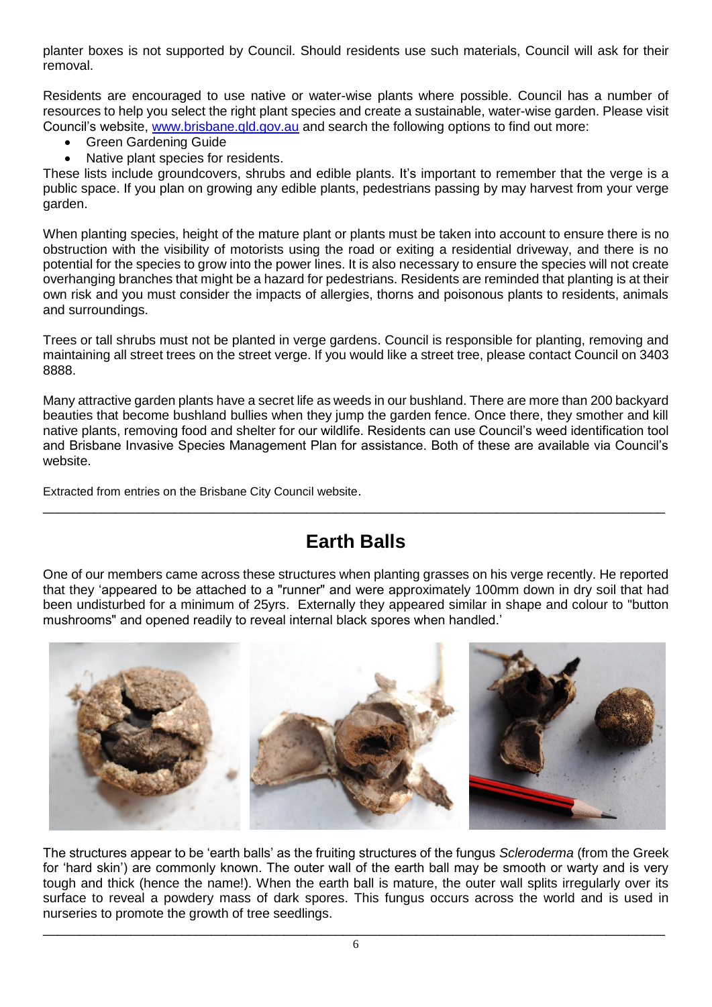planter boxes is not supported by Council. Should residents use such materials, Council will ask for their removal.

Residents are encouraged to use native or water-wise plants where possible. Council has a number of resources to help you select the right plant species and create a sustainable, water-wise garden. Please visit Council's website, [www.brisbane.qld.gov.au](http://www.brisbane.qld.gov.au/) and search the following options to find out more:

- Green Gardening Guide
- Native plant species for residents.

These lists include groundcovers, shrubs and edible plants. It's important to remember that the verge is a public space. If you plan on growing any edible plants, pedestrians passing by may harvest from your verge garden.

When planting species, height of the mature plant or plants must be taken into account to ensure there is no obstruction with the visibility of motorists using the road or exiting a residential driveway, and there is no potential for the species to grow into the power lines. It is also necessary to ensure the species will not create overhanging branches that might be a hazard for pedestrians. Residents are reminded that planting is at their own risk and you must consider the impacts of allergies, thorns and poisonous plants to residents, animals and surroundings.

Trees or tall shrubs must not be planted in verge gardens. Council is responsible for planting, removing and maintaining all street trees on the street verge. If you would like a street tree, please contact Council on 3403 8888.

Many attractive garden plants have a secret life as weeds in our bushland. There are more than 200 backyard beauties that become bushland bullies when they jump the garden fence. Once there, they smother and kill native plants, removing food and shelter for our wildlife. Residents can use Council's weed identification tool and Brisbane Invasive Species Management Plan for assistance. Both of these are available via Council's website.

Extracted from entries on the Brisbane City Council website.

# **Earth Balls**

\_\_\_\_\_\_\_\_\_\_\_\_\_\_\_\_\_\_\_\_\_\_\_\_\_\_\_\_\_\_\_\_\_\_\_\_\_\_\_\_\_\_\_\_\_\_\_\_\_\_\_\_\_\_\_\_\_\_\_\_\_\_\_\_\_\_\_\_\_\_\_\_\_\_\_\_\_\_\_\_\_\_\_\_\_

One of our members came across these structures when planting grasses on his verge recently. He reported that they 'appeared to be attached to a "runner" and were approximately 100mm down in dry soil that had been undisturbed for a minimum of 25yrs. Externally they appeared similar in shape and colour to "button mushrooms" and opened readily to reveal internal black spores when handled.'



The structures appear to be 'earth balls' as the fruiting structures of the fungus *Scleroderma* (from the Greek for 'hard skin') are commonly known. The outer wall of the earth ball may be smooth or warty and is very tough and thick (hence the name!). When the earth ball is mature, the outer wall splits irregularly over its surface to reveal a powdery mass of dark spores. This fungus occurs across the world and is used in nurseries to promote the growth of tree seedlings.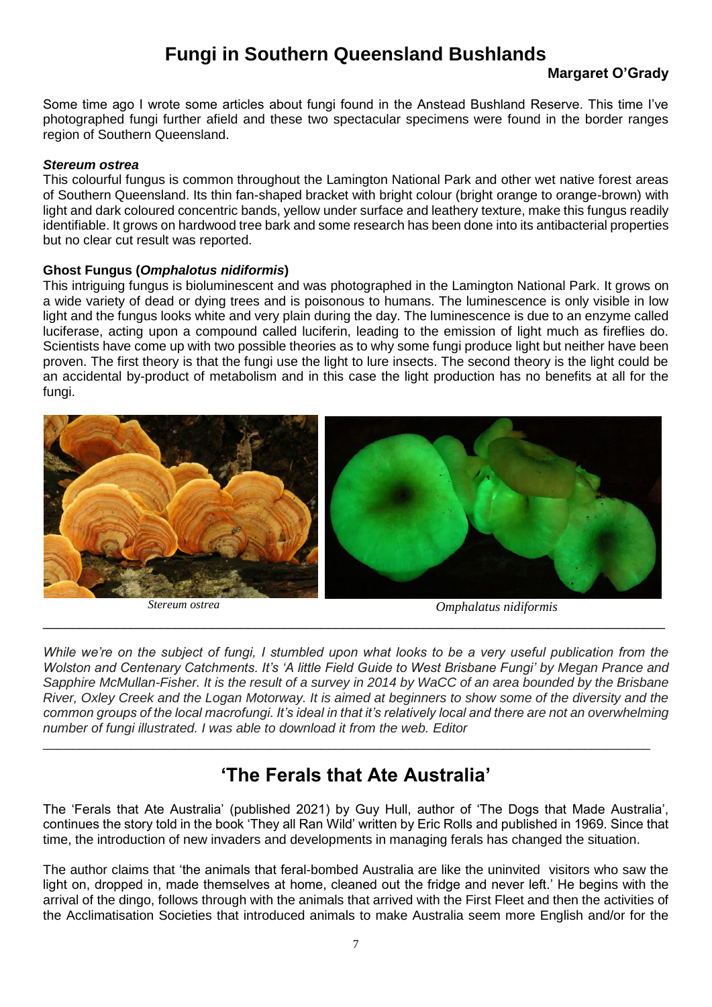## **Fungi in Southern Queensland Bushlands**

### **Margaret O'Grady**

Some time ago I wrote some articles about fungi found in the Anstead Bushland Reserve. This time I've photographed fungi further afield and these two spectacular specimens were found in the border ranges region of Southern Queensland.

### *Stereum ostrea*

This colourful fungus is common throughout the Lamington National Park and other wet native forest areas of Southern Queensland. Its thin fan-shaped bracket with bright colour (bright orange to orange-brown) with light and dark coloured concentric bands, yellow under surface and leathery texture, make this fungus readily identifiable. It grows on hardwood tree bark and some research has been done into its antibacterial properties but no clear cut result was reported.

### **Ghost Fungus (***Omphalotus nidiformis***)**

This intriguing fungus is bioluminescent and was photographed in the Lamington National Park. It grows on a wide variety of dead or dying trees and is poisonous to humans. The luminescence is only visible in low light and the fungus looks white and very plain during the day. The luminescence is due to an enzyme called luciferase, acting upon a compound called luciferin, leading to the emission of light much as fireflies do. Scientists have come up with two possible theories as to why some fungi produce light but neither have been proven. The first theory is that the fungi use the light to lure insects. The second theory is the light could be an accidental by-product of metabolism and in this case the light production has no benefits at all for the fungi.



*Stereum ostrea Omphalatus nidiformis*

*While we're on the subject of fungi, I stumbled upon what looks to be a very useful publication from the Wolston and Centenary Catchments. It's 'A little Field Guide to West Brisbane Fungi' by Megan Prance and Sapphire McMullan-Fisher. It is the result of a survey in 2014 by WaCC of an area bounded by the Brisbane River, Oxley Creek and the Logan Motorway. It is aimed at beginners to show some of the diversity and the common groups of the local macrofungi. It's ideal in that it's relatively local and there are not an overwhelming number of fungi illustrated. I was able to download it from the web. Editor*

\_\_\_\_\_\_\_\_\_\_\_\_\_\_\_\_\_\_\_\_\_\_\_\_\_\_\_\_\_\_\_\_\_\_\_\_\_\_\_\_\_\_\_\_\_\_\_\_\_\_\_\_\_\_\_\_\_\_\_\_\_\_\_\_\_\_\_\_\_\_\_\_\_\_\_\_\_\_\_\_\_\_\_\_\_

## **'The Ferals that Ate Australia'**

\_\_\_\_\_\_\_\_\_\_\_\_\_\_\_\_\_\_\_\_\_\_\_\_\_\_\_\_\_\_\_\_\_\_\_\_\_\_\_\_\_\_\_\_\_\_\_\_\_\_\_\_\_\_\_\_\_\_\_\_\_\_\_\_\_\_\_\_\_\_\_\_\_\_\_\_\_\_\_\_\_\_\_

The 'Ferals that Ate Australia' (published 2021) by Guy Hull, author of 'The Dogs that Made Australia', continues the story told in the book 'They all Ran Wild' written by Eric Rolls and published in 1969. Since that time, the introduction of new invaders and developments in managing ferals has changed the situation.

The author claims that 'the animals that feral-bombed Australia are like the uninvited visitors who saw the light on, dropped in, made themselves at home, cleaned out the fridge and never left.' He begins with the arrival of the dingo, follows through with the animals that arrived with the First Fleet and then the activities of the Acclimatisation Societies that introduced animals to make Australia seem more English and/or for the